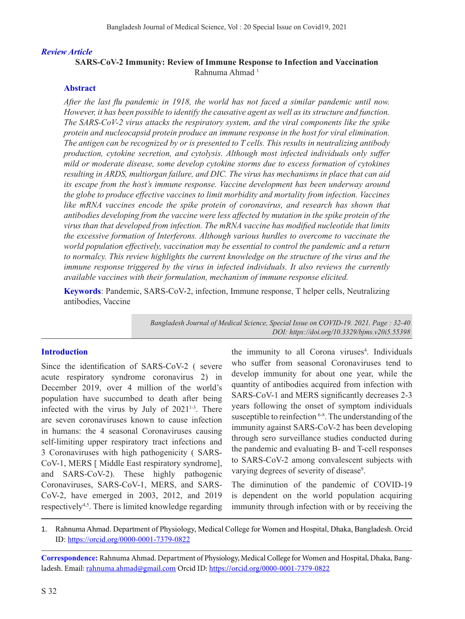### *Review Article*

# **SARS-CoV-2 Immunity: Review of Immune Response to Infection and Vaccination** Rahnuma Ahmad<sup>1</sup>

### **Abstract**

*After the last flu pandemic in 1918, the world has not faced a similar pandemic until now. However, it has been possible to identify the causative agent as well as its structure and function. The SARS-CoV-2 virus attacks the respiratory system, and the viral components like the spike protein and nucleocapsid protein produce an immune response in the host for viral elimination. The antigen can be recognized by or is presented to T cells. This results in neutralizing antibody production, cytokine secretion, and cytolysis. Although most infected individuals only suffer mild or moderate disease, some develop cytokine storms due to excess formation of cytokines resulting in ARDS, multiorgan failure, and DIC. The virus has mechanisms in place that can aid its escape from the host's immune response. Vaccine development has been underway around the globe to produce effective vaccines to limit morbidity and mortality from infection. Vaccines like mRNA vaccines encode the spike protein of coronavirus, and research has shown that antibodies developing from the vaccine were less affected by mutation in the spike protein of the virus than that developed from infection. The mRNA vaccine has modified nucleotide that limits the excessive formation of Interferons. Although various hurdles to overcome to vaccinate the world population effectively, vaccination may be essential to control the pandemic and a return to normalcy. This review highlights the current knowledge on the structure of the virus and the immune response triggered by the virus in infected individuals. It also reviews the currently available vaccines with their formulation, mechanism of immune response elicited.*

**Keywords**: Pandemic, SARS-CoV-2, infection, Immune response, T helper cells, Neutralizing antibodies, Vaccine

> *Bangladesh Journal of Medical Science, Special Issue on COVID-19. 2021. Page : 32-40 DOI: https://doi.org/10.3329/bjms.v20i5.55398*

#### **Introduction**

Since the identification of SARS-CoV-2 ( severe acute respiratory syndrome coronavirus 2) in December 2019, over 4 million of the world's population have succumbed to death after being infected with the virus by July of  $2021^{1-3}$ . There are seven coronaviruses known to cause infection in humans: the 4 seasonal Coronaviruses causing self-limiting upper respiratory tract infections and 3 Coronaviruses with high pathogenicity ( SARS-CoV-1, MERS [ Middle East respiratory syndrome], and SARS-CoV-2). These highly pathogenic Coronaviruses, SARS-CoV-1, MERS, and SARS-CoV-2, have emerged in 2003, 2012, and 2019 respectively4,5. There is limited knowledge regarding

the immunity to all Corona viruses<sup>4</sup>. Individuals who suffer from seasonal Coronaviruses tend to develop immunity for about one year, while the quantity of antibodies acquired from infection with SARS-CoV-1 and MERS significantly decreases 2-3 years following the onset of symptom individuals susceptible to reinfection <sup>6-8</sup>. The understanding of the immunity against SARS-CoV-2 has been developing through sero surveillance studies conducted during the pandemic and evaluating B- and T-cell responses to SARS-CoV-2 among convalescent subjects with varying degrees of severity of disease<sup>9</sup>.

The diminution of the pandemic of COVID-19 is dependent on the world population acquiring immunity through infection with or by receiving the

1. Rahnuma Ahmad. Department of Physiology, Medical College for Women and Hospital, Dhaka, Bangladesh. Orcid ID: https://orcid.org/0000-0001-7379-0822

**Correspondence:** Rahnuma Ahmad. Department of Physiology, Medical College for Women and Hospital, Dhaka, Bangladesh. Email: rahnuma.ahmad@gmail.com Orcid ID: https://orcid.org/0000-0001-7379-0822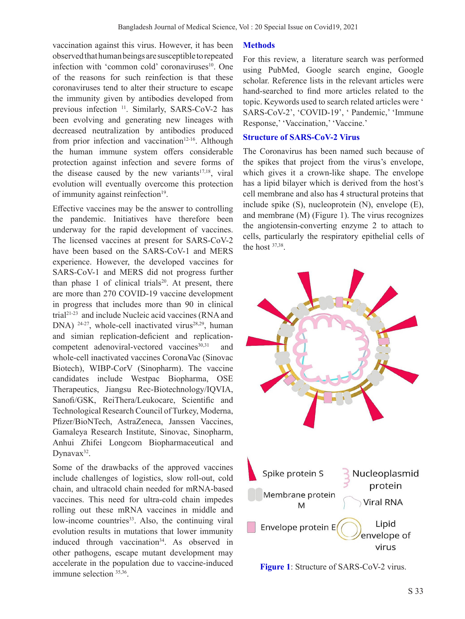vaccination against this virus. However, it has been observed that human beings are susceptible to repeated infection with 'common cold' coronaviruses<sup>10</sup>. One of the reasons for such reinfection is that these coronaviruses tend to alter their structure to escape the immunity given by antibodies developed from previous infection <sup>11</sup>. Similarly, SARS-CoV-2 has been evolving and generating new lineages with decreased neutralization by antibodies produced from prior infection and vaccination $12-16$ . Although the human immune system offers considerable protection against infection and severe forms of the disease caused by the new variants $17,18$ , viral evolution will eventually overcome this protection of immunity against reinfection<sup>19</sup>.

Effective vaccines may be the answer to controlling the pandemic. Initiatives have therefore been underway for the rapid development of vaccines. The licensed vaccines at present for SARS-CoV-2 have been based on the SARS-CoV-1 and MERS experience. However, the developed vaccines for SARS-CoV-1 and MERS did not progress further than phase 1 of clinical trials<sup>20</sup>. At present, there are more than 270 COVID-19 vaccine development in progress that includes more than 90 in clinical trial21-23 and include Nucleic acid vaccines (RNA and DNA)  $24-27$ , whole-cell inactivated virus<sup>28,29</sup>, human and simian replication-deficient and replicationcompetent adenoviral-vectored vaccines<sup>30,31</sup> and whole-cell inactivated vaccines CoronaVac (Sinovac Biotech), WIBP-CorV (Sinopharm). The vaccine candidates include Westpac Biopharma, OSE Therapeutics, Jiangsu Rec-Biotechnology/IQVIA, Sanofi/GSK, ReiThera/Leukocare, Scientific and Technological Research Council of Turkey, Moderna, Pfizer/BioNTech, AstraZeneca, Janssen Vaccines, Gamaleya Research Institute, Sinovac, Sinopharm, Anhui Zhifei Longcom Biopharmaceutical and Dynavax<sup>32</sup>.

Some of the drawbacks of the approved vaccines include challenges of logistics, slow roll-out, cold chain, and ultracold chain needed for mRNA-based vaccines. This need for ultra-cold chain impedes rolling out these mRNA vaccines in middle and low-income countries<sup>33</sup>. Also, the continuing viral evolution results in mutations that lower immunity induced through vaccination<sup>34</sup>. As observed in other pathogens, escape mutant development may accelerate in the population due to vaccine-induced immune selection 35,36.

### **Methods**

For this review, a literature search was performed using PubMed, Google search engine, Google scholar. Reference lists in the relevant articles were hand-searched to find more articles related to the topic. Keywords used to search related articles were ' SARS-CoV-2', 'COVID-19', ' Pandemic,' 'Immune Response,' 'Vaccination,' 'Vaccine.'

## **Structure of SARS-CoV-2 Virus**

The Coronavirus has been named such because of the spikes that project from the virus's envelope, which gives it a crown-like shape. The envelope has a lipid bilayer which is derived from the host's cell membrane and also has 4 structural proteins that include spike (S), nucleoprotein (N), envelope (E), and membrane (M) (Figure 1). The virus recognizes the angiotensin-converting enzyme 2 to attach to cells, particularly the respiratory epithelial cells of the host 37,38.



**Figure 1**: Structure of SARS-CoV-2 virus.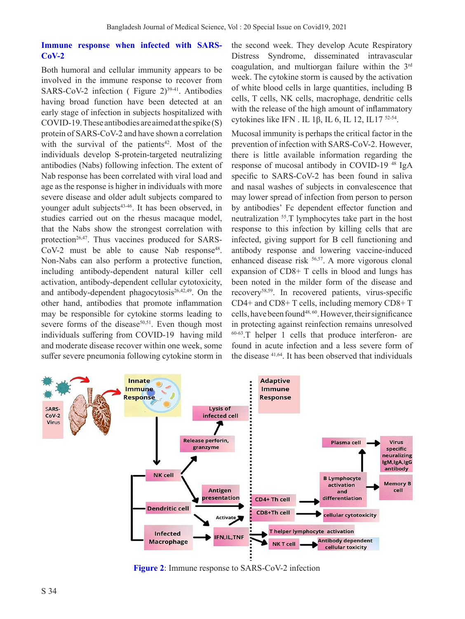### **Immune response when infected with SARS-CoV-2**

Both humoral and cellular immunity appears to be involved in the immune response to recover from SARS-CoV-2 infection ( Figure  $2)^{39-41}$ . Antibodies having broad function have been detected at an early stage of infection in subjects hospitalized with COVID-19. These antibodies are aimed at the spike  $(S)$ protein of SARS-CoV-2 and have shown a correlation with the survival of the patients<sup>42</sup>. Most of the individuals develop S-protein-targeted neutralizing antibodies (Nabs) following infection. The extent of Nab response has been correlated with viral load and age as the response is higher in individuals with more severe disease and older adult subjects compared to younger adult subjects<sup>43-46</sup>. It has been observed, in studies carried out on the rhesus macaque model, that the Nabs show the strongest correlation with protection<sup>26,47</sup>. Thus vaccines produced for SARS-CoV-2 must be able to cause Nab response<sup>48</sup>. Non-Nabs can also perform a protective function, including antibody-dependent natural killer cell activation, antibody-dependent cellular cytotoxicity, and antibody-dependent phagocytosis $26,42,49$ . On the other hand, antibodies that promote inflammation may be responsible for cytokine storms leading to severe forms of the disease<sup>50,51</sup>. Even though most individuals suffering from COVID-19 having mild and moderate disease recover within one week, some suffer severe pneumonia following cytokine storm in

the second week. They develop Acute Respiratory Distress Syndrome, disseminated intravascular coagulation, and multiorgan failure within the 3rd week. The cytokine storm is caused by the activation of white blood cells in large quantities, including B cells, T cells, NK cells, macrophage, dendritic cells with the release of the high amount of inflammatory cytokines like IFN . IL 1β, IL 6, IL 12, IL17  $52-54$ .

Mucosal immunity is perhaps the critical factor in the prevention of infection with SARS-CoV-2. However, there is little available information regarding the response of mucosal antibody in COVID-19 48 IgA specific to SARS-CoV-2 has been found in saliva and nasal washes of subjects in convalescence that may lower spread of infection from person to person by antibodies' Fc dependent effector function and neutralization 55.T lymphocytes take part in the host response to this infection by killing cells that are infected, giving support for B cell functioning and antibody response and lowering vaccine-induced enhanced disease risk 56,57. A more vigorous clonal expansion of CD8+ T cells in blood and lungs has been noted in the milder form of the disease and recovery58,59. In recovered patients, virus-specific CD4+ and CD8+ T cells, including memory CD8+ T cells, have been found48, <sup>60</sup>. However, their significance in protecting against reinfection remains unresolved 60-63.T helper 1 cells that produce interferon- are found in acute infection and a less severe form of the disease 41,64. It has been observed that individuals



**Figure 2**: Immune response to SARS-CoV-2 infection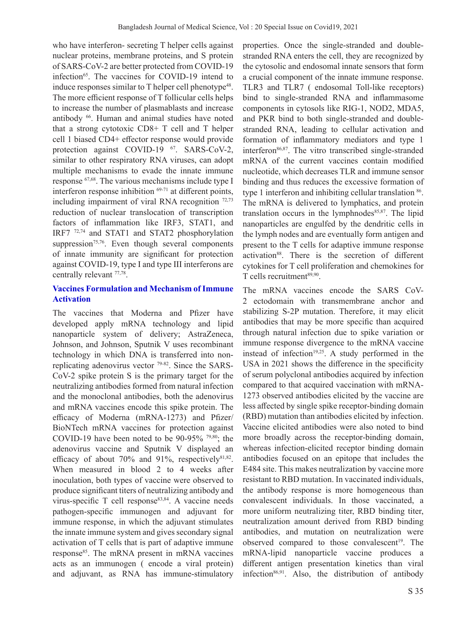who have interferon- secreting T helper cells against nuclear proteins, membrane proteins, and S protein of SARS-CoV-2 are better protected from COVID-19 infection<sup>65</sup>. The vaccines for COVID-19 intend to induce responses similar to  $T$  helper cell phenotype<sup>48</sup>. The more efficient response of T follicular cells helps to increase the number of plasmablasts and increase antibody 66. Human and animal studies have noted that a strong cytotoxic CD8+ T cell and T helper cell 1 biased CD4+ effector response would provide protection against COVID-19 <sup>67</sup>. SARS-CoV-2, similar to other respiratory RNA viruses, can adopt multiple mechanisms to evade the innate immune response 67,68. The various mechanisms include type I interferon response inhibition 69-71 at different points, including impairment of viral RNA recognition 72,73 reduction of nuclear translocation of transcription factors of inflammation like IRF3, STAT1, and IRF7 72,74 and STAT1 and STAT2 phosphorylation suppression $75,76$ . Even though several components of innate immunity are significant for protection against COVID-19, type I and type III interferons are centrally relevant 77,78.

# **Vaccines Formulation and Mechanism of Immune Activation**

The vaccines that Moderna and Pfizer have developed apply mRNA technology and lipid nanoparticle system of delivery; AstraZeneca, Johnson, and Johnson, Sputnik V uses recombinant technology in which DNA is transferred into nonreplicating adenovirus vector 79-82. Since the SARS-CoV-2 spike protein S is the primary target for the neutralizing antibodies formed from natural infection and the monoclonal antibodies, both the adenovirus and mRNA vaccines encode this spike protein. The efficacy of Moderna (mRNA-1273) and Pfizer/ BioNTech mRNA vaccines for protection against COVID-19 have been noted to be 90-95% 79,80; the adenovirus vaccine and Sputnik V displayed an efficacy of about 70% and 91%, respectively $81,82$ . When measured in blood 2 to 4 weeks after inoculation, both types of vaccine were observed to produce significant titers of neutralizing antibody and virus-specific T cell response $83,84$ . A vaccine needs pathogen-specific immunogen and adjuvant for immune response, in which the adjuvant stimulates the innate immune system and gives secondary signal activation of T cells that is part of adaptive immune response<sup>85</sup>. The mRNA present in mRNA vaccines acts as an immunogen ( encode a viral protein) and adjuvant, as RNA has immune-stimulatory

properties. Once the single-stranded and doublestranded RNA enters the cell, they are recognized by the cytosolic and endosomal innate sensors that form a crucial component of the innate immune response. TLR3 and TLR7 ( endosomal Toll-like receptors) bind to single-stranded RNA and inflammasome components in cytosols like RIG-1, NOD2, MDA5, and PKR bind to both single-stranded and doublestranded RNA, leading to cellular activation and formation of inflammatory mediators and type 1 interferon<sup>86,87</sup>. The vitro transcribed single-stranded mRNA of the current vaccines contain modified nucleotide, which decreases TLR and immune sensor binding and thus reduces the excessive formation of type 1 interferon and inhibiting cellular translation  $86$ . The mRNA is delivered to lymphatics, and protein translation occurs in the lymphnodes $85,87$ . The lipid nanoparticles are engulfed by the dendritic cells in the lymph nodes and are eventually form antigen and present to the T cells for adaptive immune response activation<sup>88</sup>. There is the secretion of different cytokines for T cell proliferation and chemokines for  $T$  cells recruitment<sup>89,90</sup>.

The mRNA vaccines encode the SARS CoV-2 ectodomain with transmembrane anchor and stabilizing S-2P mutation. Therefore, it may elicit antibodies that may be more specific than acquired through natural infection due to spike variation or immune response divergence to the mRNA vaccine instead of infection $19,25$ . A study performed in the USA in 2021 shows the difference in the specificity of serum polyclonal antibodies acquired by infection compared to that acquired vaccination with mRNA-1273 observed antibodies elicited by the vaccine are less affected by single spike receptor-binding domain (RBD) mutation than antibodies elicited by infection. Vaccine elicited antibodies were also noted to bind more broadly across the receptor-binding domain, whereas infection-elicited receptor binding domain antibodies focused on an epitope that includes the E484 site. This makes neutralization by vaccine more resistant to RBD mutation. In vaccinated individuals, the antibody response is more homogeneous than convalescent individuals. In those vaccinated, a more uniform neutralizing titer, RBD binding titer, neutralization amount derived from RBD binding antibodies, and mutation on neutralization were observed compared to those convalescent<sup>19</sup>. The mRNA-lipid nanoparticle vaccine produces a different antigen presentation kinetics than viral infection $86,91$ . Also, the distribution of antibody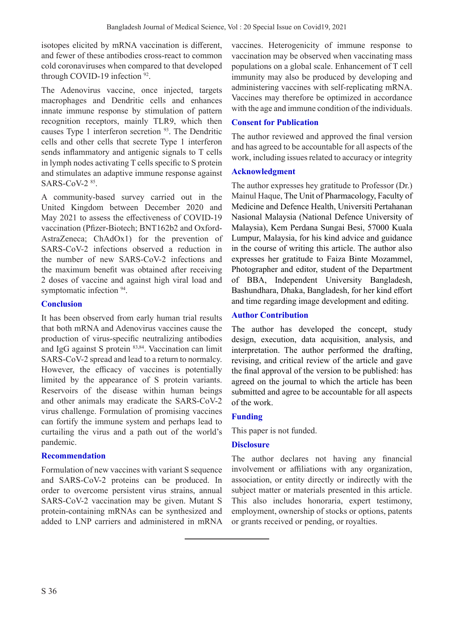isotopes elicited by mRNA vaccination is different, and fewer of these antibodies cross-react to common cold coronaviruses when compared to that developed through COVID-19 infection <sup>92</sup>.

The Adenovirus vaccine, once injected, targets macrophages and Dendritic cells and enhances innate immune response by stimulation of pattern recognition receptors, mainly TLR9, which then causes Type 1 interferon secretion 93. The Dendritic cells and other cells that secrete Type 1 interferon sends inflammatory and antigenic signals to T cells in lymph nodes activating T cells specific to S protein and stimulates an adaptive immune response against SARS-CoV-2 85.

A community-based survey carried out in the United Kingdom between December 2020 and May 2021 to assess the effectiveness of COVID-19 vaccination (Pfizer-Biotech; BNT162b2 and Oxford-AstraZeneca; ChAdOx1) for the prevention of SARS-CoV-2 infections observed a reduction in the number of new SARS-CoV-2 infections and the maximum benefit was obtained after receiving 2 doses of vaccine and against high viral load and symptomatic infection  $94$ .

# **Conclusion**

It has been observed from early human trial results that both mRNA and Adenovirus vaccines cause the production of virus-specific neutralizing antibodies and IgG against S protein 83,84. Vaccination can limit SARS-CoV-2 spread and lead to a return to normalcy. However, the efficacy of vaccines is potentially limited by the appearance of S protein variants. Reservoirs of the disease within human beings and other animals may eradicate the SARS-CoV-2 virus challenge. Formulation of promising vaccines can fortify the immune system and perhaps lead to curtailing the virus and a path out of the world's pandemic.

# **Recommendation**

Formulation of new vaccines with variant S sequence and SARS-CoV-2 proteins can be produced. In order to overcome persistent virus strains, annual SARS-CoV-2 vaccination may be given. Mutant S protein-containing mRNAs can be synthesized and added to LNP carriers and administered in mRNA vaccines. Heterogenicity of immune response to vaccination may be observed when vaccinating mass populations on a global scale. Enhancement of T cell immunity may also be produced by developing and administering vaccines with self-replicating mRNA. Vaccines may therefore be optimized in accordance with the age and immune condition of the individuals.

# **Consent for Publication**

The author reviewed and approved the final version and has agreed to be accountable for all aspects of the work, including issues related to accuracy or integrity

## **Acknowledgment**

The author expresses hey gratitude to Professor (Dr.) Mainul Haque, The Unit of Pharmacology, Faculty of Medicine and Defence Health, Universiti Pertahanan Nasional Malaysia (National Defence University of Malaysia), Kem Perdana Sungai Besi, 57000 Kuala Lumpur, Malaysia, for his kind advice and guidance in the course of writing this article. The author also expresses her gratitude to Faiza Binte Mozammel, Photographer and editor, student of the Department of BBA, Independent University Bangladesh, Bashundhara, Dhaka, Bangladesh, for her kind effort and time regarding image development and editing.

### **Author Contribution**

The author has developed the concept, study design, execution, data acquisition, analysis, and interpretation. The author performed the drafting, revising, and critical review of the article and gave the final approval of the version to be published: has agreed on the journal to which the article has been submitted and agree to be accountable for all aspects of the work.

# **Funding**

This paper is not funded.

# **Disclosure**

The author declares not having any financial involvement or affiliations with any organization, association, or entity directly or indirectly with the subject matter or materials presented in this article. This also includes honoraria, expert testimony, employment, ownership of stocks or options, patents or grants received or pending, or royalties.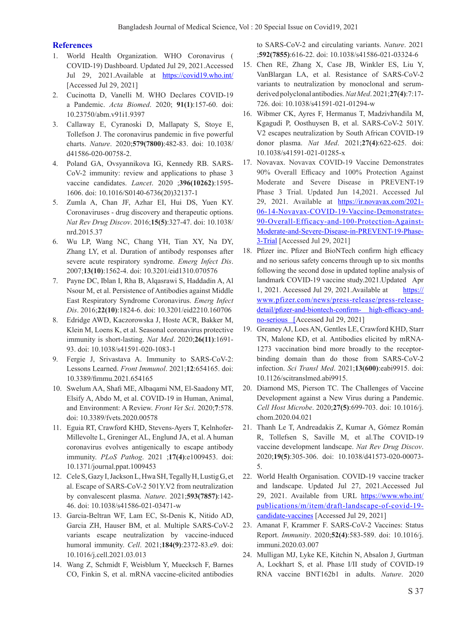### **References**

- 1. World Health Organization. WHO Coronavirus ( COVID-19) Dashboard. Updated Jul 29, 2021.Accessed Jul 29, 2021. Available at https://covid19.who.int/ [Accessed Jul 29, 2021]
- 2. Cucinotta D, Vanelli M. WHO Declares COVID-19 a Pandemic. *Acta Biomed*. 2020; **91(1)**:157-60. doi: 10.23750/abm.v91i1.9397
- 3. Callaway E, Cyranoski D, Mallapaty S, Stoye E, Tollefson J. The coronavirus pandemic in five powerful charts. *Nature*. 2020;**579(7800)**:482-83. doi: 10.1038/ d41586-020-00758-2.
- 4. Poland GA, Ovsyannikova IG, Kennedy RB. SARS-CoV-2 immunity: review and applications to phase 3 vaccine candidates. *Lancet*. 2020 ;**396(10262)**:1595- 1606. doi: 10.1016/S0140-6736(20)32137-1
- 5. Zumla A, Chan JF, Azhar EI, Hui DS, Yuen KY. Coronaviruses - drug discovery and therapeutic options. *Nat Rev Drug Discov*. 2016;**15(5)**:327-47. doi: 10.1038/ nrd.2015.37
- 6. Wu LP, Wang NC, Chang YH, Tian XY, Na DY, Zhang LY, et al. Duration of antibody responses after severe acute respiratory syndrome. *Emerg Infect Dis*. 2007;**13(10)**:1562-4. doi: 10.3201/eid1310.070576
- 7. Payne DC, Iblan I, Rha B, Alqasrawi S, Haddadin A, Al Nsour M, et al. Persistence of Antibodies against Middle East Respiratory Syndrome Coronavirus. *Emerg Infect Dis*. 2016;**22(10)**:1824-6. doi: 10.3201/eid2210.160706
- 8. Edridge AWD, Kaczorowska J, Hoste ACR, Bakker M, Klein M, Loens K, et al. Seasonal coronavirus protective immunity is short-lasting. *Nat Med*. 2020;**26(11)**:1691- 93. doi: 10.1038/s41591-020-1083-1
- 9. Fergie J, Srivastava A. Immunity to SARS-CoV-2: Lessons Learned. *Front Immunol*. 2021;**12**:654165. doi: 10.3389/fimmu.2021.654165
- 10. Swelum AA, Shafi ME, Albaqami NM, El-Saadony MT, Elsify A, Abdo M, et al. COVID-19 in Human, Animal, and Environment: A Review. *Front Vet Sci*. 2020;**7**:578. doi: 10.3389/fvets.2020.00578
- 11. Eguia RT, Crawford KHD, Stevens-Ayers T, Kelnhofer-Millevolte L, Greninger AL, Englund JA, et al. A human coronavirus evolves antigenically to escape antibody immunity. *PLoS Pathog*. 2021 ;**17(4)**:e1009453. doi: 10.1371/journal.ppat.1009453
- 12. Cele S, Gazy I, Jackson L, Hwa SH, Tegally H, Lustig G, et al. Escape of SARS-CoV-2 501Y.V2 from neutralization by convalescent plasma. *Nature*. 2021;**593(7857)**:142- 46. doi: 10.1038/s41586-021-03471-w
- 13. Garcia-Beltran WF, Lam EC, St-Denis K, Nitido AD, Garcia ZH, Hauser BM, et al. Multiple SARS-CoV-2 variants escape neutralization by vaccine-induced humoral immunity. *Cell*. 2021;**184(9)**:2372-83.e9. doi: 10.1016/j.cell.2021.03.013
- 14. Wang Z, Schmidt F, Weisblum Y, Muecksch F, Barnes CO, Finkin S, et al. mRNA vaccine-elicited antibodies

to SARS-CoV-2 and circulating variants. *Nature*. 2021 ;**592(7855)**:616-22. doi: 10.1038/s41586-021-03324-6

- 15. Chen RE, Zhang X, Case JB, Winkler ES, Liu Y, VanBlargan LA, et al. Resistance of SARS-CoV-2 variants to neutralization by monoclonal and serumderived polyclonal antibodies. *Nat Med*. 2021;**27(4)**:7:17- 726. doi: 10.1038/s41591-021-01294-w
- 16. Wibmer CK, Ayres F, Hermanus T, Madzivhandila M, Kgagudi P, Oosthuysen B, et al. SARS-CoV-2 501Y. V2 escapes neutralization by South African COVID-19 donor plasma. *Nat Med*. 2021;**27(4)**:622-625. doi: 10.1038/s41591-021-01285-x
- 17. Novavax. Novavax COVID-19 Vaccine Demonstrates 90% Overall Efficacy and 100% Protection Against Moderate and Severe Disease in PREVENT-19 Phase 3 Trial. Updated Jun 14,2021. Accessed Jul 29, 2021. Available at https://ir.novavax.com/2021- 06-14-Novavax-COVID-19-Vaccine-Demonstrates-90-Overall-Efficacy-and-100-Protection-Against-Moderate-and-Severe-Disease-in-PREVENT-19-Phase-3-Trial [Accessed Jul 29, 2021]
- 18. Pfizer inc. Pfizer and BioNTech confirm high efficacy and no serious safety concerns through up to six months following the second dose in updated topline analysis of landmark COVID-19 vaccine study.2021.Updated Apr 1, 2021. Accessed Jul 29, 2021.Available at https:// www.pfizer.com/news/press-release/press-releasedetail/pfizer-and-biontech-confirm- high-efficacy-andno-serious [Accessed Jul 29, 2021]
- 19. Greaney AJ, Loes AN, Gentles LE, Crawford KHD, Starr TN, Malone KD, et al. Antibodies elicited by mRNA-1273 vaccination bind more broadly to the receptorbinding domain than do those from SARS-CoV-2 infection. *Sci Transl Med*. 2021;**13(600)**:eabi9915. doi: 10.1126/scitranslmed.abi9915.
- 20. Diamond MS, Pierson TC. The Challenges of Vaccine Development against a New Virus during a Pandemic. *Cell Host Microbe*. 2020;**27(5)**:699-703. doi: 10.1016/j. chom.2020.04.021
- 21. Thanh Le T, Andreadakis Z, Kumar A, Gómez Román R, Tollefsen S, Saville M, et al.The COVID-19 vaccine development landscape. *Nat Rev Drug Discov*. 2020;**19(5)**:305-306. doi: 10.1038/d41573-020-00073- 5.
- 22. World Health Organisation. COVID-19 vaccine tracker and landscape. Updated Jul 27, 2021.Accessed Jul 29, 2021. Available from URL https://www.who.int/ publications/m/item/draft-landscape-of-covid-19 candidate-vaccines [Accessed Jul 29, 2021]
- 23. Amanat F, Krammer F. SARS-CoV-2 Vaccines: Status Report. *Immunity*. 2020;**52(4)**:583-589. doi: 10.1016/j. immuni.2020.03.007
- 24. Mulligan MJ, Lyke KE, Kitchin N, Absalon J, Gurtman A, Lockhart S, et al. Phase I/II study of COVID-19 RNA vaccine BNT162b1 in adults. *Nature*. 2020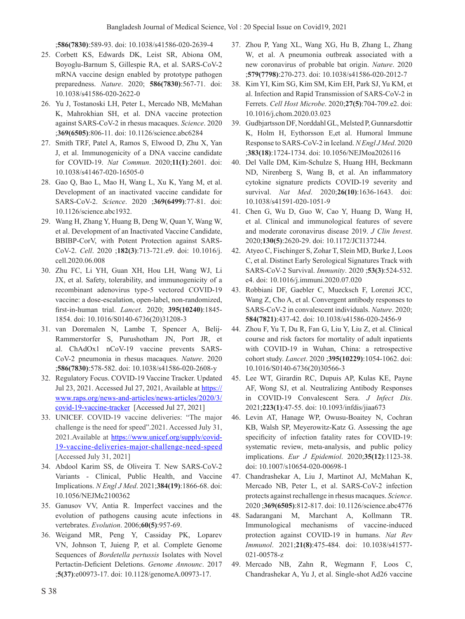;**586(7830)**:589-93. doi: 10.1038/s41586-020-2639-4

- 25. Corbett KS, Edwards DK, Leist SR, Abiona OM, Boyoglu-Barnum S, Gillespie RA, et al. SARS-CoV-2 mRNA vaccine design enabled by prototype pathogen preparedness. *Nature*. 2020; **586(7830)**:567-71. doi: 10.1038/s41586-020-2622-0
- 26. Yu J, Tostanoski LH, Peter L, Mercado NB, McMahan K, Mahrokhian SH, et al. DNA vaccine protection against SARS-CoV-2 in rhesus macaques. *Science*. 2020 ;**369(6505)**:806-11. doi: 10.1126/science.abc6284
- 27. Smith TRF, Patel A, Ramos S, Elwood D, Zhu X, Yan J, et al. Immunogenicity of a DNA vaccine candidate for COVID-19. *Nat Commun*. 2020;**11(1)**:2601. doi: 10.1038/s41467-020-16505-0
- 28. Gao Q, Bao L, Mao H, Wang L, Xu K, Yang M, et al. Development of an inactivated vaccine candidate for SARS-CoV-2. *Science*. 2020 ;**369(6499)**:77-81. doi: 10.1126/science.abc1932.
- 29. Wang H, Zhang Y, Huang B, Deng W, Quan Y, Wang W, et al. Development of an Inactivated Vaccine Candidate, BBIBP-CorV, with Potent Protection against SARS-CoV-2. *Cell*. 2020 ;**182(3)**:713-721.e9. doi: 10.1016/j. cell.2020.06.008
- 30. Zhu FC, Li YH, Guan XH, Hou LH, Wang WJ, Li JX, et al. Safety, tolerability, and immunogenicity of a recombinant adenovirus type-5 vectored COVID-19 vaccine: a dose-escalation, open-label, non-randomized, first-in-human trial. *Lancet*. 2020; **395(10240)**:1845- 1854. doi: 10.1016/S0140-6736(20)31208-3
- 31. van Doremalen N, Lambe T, Spencer A, Belij-Rammerstorfer S, Purushotham JN, Port JR, et al. ChAdOx1 nCoV-19 vaccine prevents SARS-CoV-2 pneumonia in rhesus macaques. *Nature*. 2020 ;**586(7830)**:578-582. doi: 10.1038/s41586-020-2608-y
- 32. Regulatory Focus. COVID-19 Vaccine Tracker. Updated Jul 23, 2021. Accessed Jul 27, 2021, Available at https:// www.raps.org/news-and-articles/news-articles/2020/3/ covid-19-vaccine-tracker [Accessed Jul 27, 2021]
- 33. UNICEF. COVID-19 vaccine deliveries: "The major challenge is the need for speed".2021. Accessed July 31, 2021.Available at https://www.unicef.org/supply/covid-19-vaccine-deliveries-major-challenge-need-speed [Accessed July 31, 2021]
- 34. Abdool Karim SS, de Oliveira T. New SARS-CoV-2 Variants - Clinical, Public Health, and Vaccine Implications. *N Engl J Med*. 2021;**384(19)**:1866-68. doi: 10.1056/NEJMc2100362
- 35. Ganusov VV, Antia R. Imperfect vaccines and the evolution of pathogens causing acute infections in vertebrates. *Evolution*. 2006;**60(5)**:957-69.
- 36. Weigand MR, Peng Y, Cassiday PK, Loparev VN, Johnson T, Juieng P, et al. Complete Genome Sequences of *Bordetella pertussis* Isolates with Novel Pertactin-Deficient Deletions. *Genome Announc*. 2017 ;**5(37)**:e00973-17. doi: 10.1128/genomeA.00973-17.
- 37. Zhou P, Yang XL, Wang XG, Hu B, Zhang L, Zhang W, et al. A pneumonia outbreak associated with a new coronavirus of probable bat origin. *Nature*. 2020 ;**579(7798)**:270-273. doi: 10.1038/s41586-020-2012-7
- 38. Kim YI, Kim SG, Kim SM, Kim EH, Park SJ, Yu KM, et al. Infection and Rapid Transmission of SARS-CoV-2 in Ferrets. *Cell Host Microbe*. 2020;**27(5)**:704-709.e2. doi: 10.1016/j.chom.2020.03.023
- 39. Gudbjartsson DF, Norddahl GL, Melsted P, Gunnarsdottir K, Holm H, Eythorsson E,et al. Humoral Immune Response to SARS-CoV-2 in Iceland. *N Engl J Med*. 2020 ;**383(18)**:1724-1734. doi: 10.1056/NEJMoa2026116
- 40. Del Valle DM, Kim-Schulze S, Huang HH, Beckmann ND, Nirenberg S, Wang B, et al. An inflammatory cytokine signature predicts COVID-19 severity and survival. *Nat Med*. 2020;**26(10)**:1636-1643. doi: 10.1038/s41591-020-1051-9
- 41. Chen G, Wu D, Guo W, Cao Y, Huang D, Wang H, et al. Clinical and immunological features of severe and moderate coronavirus disease 2019. *J Clin Invest*. 2020;**130(5)**:2620-29. doi: 10.1172/JCI137244.
- 42. Atyeo C, Fischinger S, Zohar T, Slein MD, Burke J, Loos C, et al. Distinct Early Serological Signatures Track with SARS-CoV-2 Survival. *Immunity*. 2020 ;**53(3)**:524-532. e4. doi: 10.1016/j.immuni.2020.07.020
- 43. Robbiani DF, Gaebler C, Muecksch F, Lorenzi JCC, Wang Z, Cho A, et al. Convergent antibody responses to SARS-CoV-2 in convalescent individuals. *Nature*. 2020; **584(7821)**:437-42. doi: 10.1038/s41586-020-2456-9
- 44. Zhou F, Yu T, Du R, Fan G, Liu Y, Liu Z, et al. Clinical course and risk factors for mortality of adult inpatients with COVID-19 in Wuhan, China: a retrospective cohort study. *Lancet*. 2020 ;**395(10229)**:1054-1062. doi: 10.1016/S0140-6736(20)30566-3
- 45. Lee WT, Girardin RC, Dupuis AP, Kulas KE, Payne AF, Wong SJ, et al. Neutralizing Antibody Responses in COVID-19 Convalescent Sera. *J Infect Dis*. 2021;**223(1)**:47-55. doi: 10.1093/infdis/jiaa673
- 46. Levin AT, Hanage WP, Owusu-Boaitey N, Cochran KB, Walsh SP, Meyerowitz-Katz G. Assessing the age specificity of infection fatality rates for COVID-19: systematic review, meta-analysis, and public policy implications. *Eur J Epidemiol*. 2020;**35(12)**:1123-38. doi: 10.1007/s10654-020-00698-1
- 47. Chandrashekar A, Liu J, Martinot AJ, McMahan K, Mercado NB, Peter L, et al. SARS-CoV-2 infection protects against rechallenge in rhesus macaques. *Science*. 2020 ;**369(6505)**:812-817. doi: 10.1126/science.abc4776
- 48. Sadarangani M, Marchant A, Kollmann TR. Immunological mechanisms of vaccine-induced protection against COVID-19 in humans. *Nat Rev Immunol*. 2021;**21(8)**:475-484. doi: 10.1038/s41577- 021-00578-z
- 49. Mercado NB, Zahn R, Wegmann F, Loos C, Chandrashekar A, Yu J, et al. Single-shot Ad26 vaccine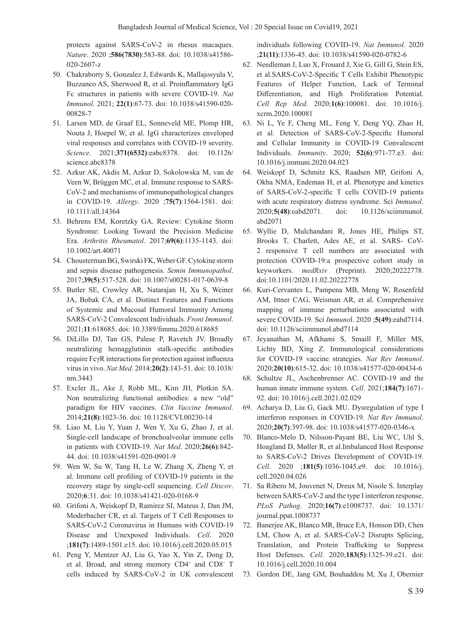protects against SARS-CoV-2 in rhesus macaques. *Nature*. 2020 ;**586(7830)**:583-88. doi: 10.1038/s41586- 020-2607-z

- 50. Chakraborty S, Gonzalez J, Edwards K, Mallajosyula V, Buzzanco AS, Sherwood R, et al. Proinflammatory IgG Fc structures in patients with severe COVID-19. *Nat Immunol*. 2021; **22(1)**:67-73. doi: 10.1038/s41590-020- 00828-7
- 51. Larsen MD, de Graaf EL, Sonneveld ME, Plomp HR, Nouta J, Hoepel W, et al. IgG characterizes enveloped viral responses and correlates with COVID-19 severity. *Science*. 2021;**371(6532)**:eabc8378. doi: 10.1126/ science.abc8378
- 52. Azkur AK, Akdis M, Azkur D, Sokolowska M, van de Veen W, Brüggen MC, et al. Immune response to SARS-CoV-2 and mechanisms of immunopathological changes in COVID-19. *Allergy*. 2020 ;**75(7)**:1564-1581. doi: 10.1111/all.14364
- 53. Behrens EM, Koretzky GA. Review: Cytokine Storm Syndrome: Looking Toward the Precision Medicine Era. *Arthritis Rheumatol*. 2017;**69(6)**:1135-1143. doi: 10.1002/art.40071
- 54. Chousterman BG, Swirski FK, Weber GF. Cytokine storm and sepsis disease pathogenesis. *Semin Immunopathol*. 2017;**39(5)**:517-528. doi: 10.1007/s00281-017-0639-8
- 55. Butler SE, Crowley AR, Natarajan H, Xu S, Weiner JA, Bobak CA, et al. Distinct Features and Functions of Systemic and Mucosal Humoral Immunity Among SARS-CoV-2 Convalescent Individuals. *Front Immunol*. 2021;**11**:618685. doi: 10.3389/fimmu.2020.618685
- 56. DiLillo DJ, Tan GS, Palese P, Ravetch JV. Broadly neutralizing hemagglutinin stalk-specific antibodies require FcγR interactions for protection against influenza virus in vivo. *Nat Med*. 2014;**20(2)**:143-51. doi: 10.1038/ nm.3443
- 57. Excler JL, Ake J, Robb ML, Kim JH, Plotkin SA. Non neutralizing functional antibodies: a new "old" paradigm for HIV vaccines. *Clin Vaccine Immunol*. 2014;**21(8)**:1023-36. doi: 10.1128/CVI.00230-14
- 58. Liao M, Liu Y, Yuan J, Wen Y, Xu G, Zhao J, et al. Single-cell landscape of bronchoalveolar immune cells in patients with COVID-19. *Nat Med*. 2020;**26(6)**:842- 44. doi: 10.1038/s41591-020-0901-9
- 59. Wen W, Su W, Tang H, Le W, Zhang X, Zheng Y, et al. Immune cell profiling of COVID-19 patients in the recovery stage by single-cell sequencing. *Cell Discov*. 2020;**6**:31. doi: 10.1038/s41421-020-0168-9
- 60. Grifoni A, Weiskopf D, Ramirez SI, Mateus J, Dan JM, Moderbacher CR, et al. Targets of T Cell Responses to SARS-CoV-2 Coronavirus in Humans with COVID-19 Disease and Unexposed Individuals. *Cell*. 2020 ;**181(7)**:1489-1501.e15. doi: 10.1016/j.cell.2020.05.015
- 61. Peng Y, Mentzer AJ, Liu G, Yao X, Yin Z, Dong D, et al. Broad, and strong memory CD4<sup>+</sup> and CD8<sup>+</sup> T cells induced by SARS-CoV-2 in UK convalescent

individuals following COVID-19. *Nat Immunol*. 2020 ;**21(11)**:1336-45. doi: 10.1038/s41590-020-0782-6

- 62. Needleman J, Luo X, Frouard J, Xie G, Gill G, Stein ES, et al.SARS-CoV-2-Specific T Cells Exhibit Phenotypic Features of Helper Function, Lack of Terminal Differentiation, and High Proliferation Potential. *Cell Rep Med*. 2020;**1(6)**:100081. doi: 10.1016/j. xcrm.2020.100081
- 63. Ni L, Ye F, Cheng ML, Feng Y, Deng YQ, Zhao H, et al. Detection of SARS-CoV-2-Specific Humoral and Cellular Immunity in COVID-19 Convalescent Individuals. *Immunity*. 2020; **52(6)**:971-77.e3. doi: 10.1016/j.immuni.2020.04.023
- 64. Weiskopf D, Schmitz KS, Raadsen MP, Grifoni A, Okba NMA, Endeman H, et al. Phenotype and kinetics of SARS-CoV-2-specific T cells COVID-19 patients with acute respiratory distress syndrome. Sci *Immunol*. 2020;**5(48)**:eabd2071. doi: 10.1126/sciimmunol. abd2071
- 65. Wyllie D, Mulchandani R, Jones HE, Philips ST, Brooks T, Charlett, Ades AE, et al. SARS- CoV-2 responsive T cell numbers are associated with protection COVID-19:a prospective cohort study in keyworkers. *medRxiv* (Preprint). 2020;20222778. doi:10.1101/2020.11.02.20222778
- 66. Kuri-Cervantes L, Pampena MB, Meng W, Rosenfeld AM, Ittner CAG, Weisman AR, et al. Comprehensive mapping of immune perturbations associated with severe COVID-19. Sci *Immuno*l. 2020 ;**5(49)**:eabd7114. doi: 10.1126/sciimmunol.abd7114
- 67. Jeyanathan M, Afkhami S, Smaill F, Miller MS, Lichty BD, Xing Z. Immunological considerations for COVID-19 vaccine strategies. *Nat Rev Immunol*. 2020;**20(10)**:615-32. doi: 10.1038/s41577-020-00434-6
- 68. Schultze JL, Aschenbrenner AC. COVID-19 and the human innate immune system. *Cell*. 2021;**184(7)**:1671- 92. doi: 10.1016/j.cell.2021.02.029
- 69. Acharya D, Liu G, Gack MU. Dysregulation of type I interferon responses in COVID-19. *Nat Rev Immunol*. 2020;**20(7)**:397-98. doi: 10.1038/s41577-020-0346-x
- 70. Blanco-Melo D, Nilsson-Payant BE, Liu WC, Uhl S, Hoagland D, Møller R, et al.Imbalanced Host Response to SARS-CoV-2 Drives Development of COVID-19. *Cell*. 2020 ;**181(5)**:1036-1045.e9. doi: 10.1016/j. cell.2020.04.026
- 71. Sa Ribero M, Jouvenet N, Dreux M, Nisole S. Interplay between SARS-CoV-2 and the type I interferon response. *PLoS Pathog*. 2020;**16(7)**:e1008737. doi: 10.1371/ journal.ppat.1008737
- 72. Banerjee AK, Blanco MR, Bruce EA, Honson DD, Chen LM, Chow A, et al. SARS-CoV-2 Disrupts Splicing, Translation, and Protein Trafficking to Suppress Host Defenses. *Cell*. 2020;**183(5)**:1325-39.e21. doi: 10.1016/j.cell.2020.10.004
- 73. Gordon DE, Jang GM, Bouhaddou M, Xu J, Obernier